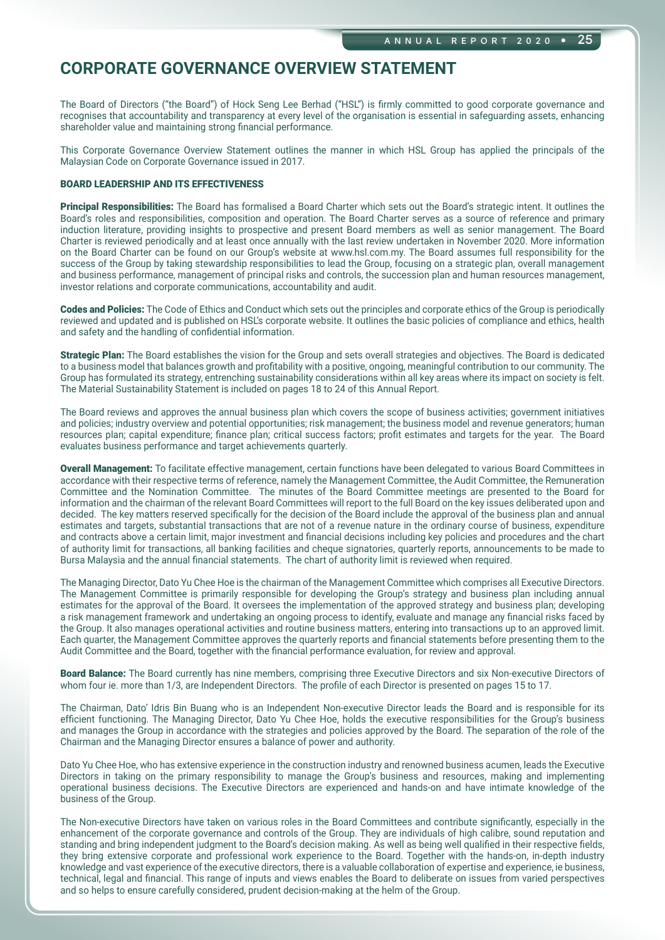The Board of Directors ("the Board") of Hock Seng Lee Berhad ("HSL") is firmly committed to good corporate governance and recognises that accountability and transparency at every level of the organisation is essential in safeguarding assets, enhancing shareholder value and maintaining strong financial performance.

This Corporate Governance Overview Statement outlines the manner in which HSL Group has applied the principals of the Malaysian Code on Corporate Governance issued in 2017.

#### BOARD LEADERSHIP AND ITS EFFECTIVENESS

Principal Responsibilities: The Board has formalised a Board Charter which sets out the Board's strategic intent. It outlines the Board's roles and responsibilities, composition and operation. The Board Charter serves as a source of reference and primary induction literature, providing insights to prospective and present Board members as well as senior management. The Board Charter is reviewed periodically and at least once annually with the last review undertaken in November 2020. More information on the Board Charter can be found on our Group's website at www.hsl.com.my. The Board assumes full responsibility for the success of the Group by taking stewardship responsibilities to lead the Group, focusing on a strategic plan, overall management and business performance, management of principal risks and controls, the succession plan and human resources management, investor relations and corporate communications, accountability and audit.

Codes and Policies: The Code of Ethics and Conduct which sets out the principles and corporate ethics of the Group is periodically reviewed and updated and is published on HSL's corporate website. It outlines the basic policies of compliance and ethics, health and safety and the handling of confidential information.

Strategic Plan: The Board establishes the vision for the Group and sets overall strategies and objectives. The Board is dedicated to a business model that balances growth and profitability with a positive, ongoing, meaningful contribution to our community. The Group has formulated its strategy, entrenching sustainability considerations within all key areas where its impact on society is felt. The Material Sustainability Statement is included on pages 18 to 24 of this Annual Report.

The Board reviews and approves the annual business plan which covers the scope of business activities; government initiatives and policies; industry overview and potential opportunities; risk management; the business model and revenue generators; human resources plan; capital expenditure; finance plan; critical success factors; profit estimates and targets for the year. The Board evaluates business performance and target achievements quarterly.

Overall Management: To facilitate effective management, certain functions have been delegated to various Board Committees in accordance with their respective terms of reference, namely the Management Committee, the Audit Committee, the Remuneration Committee and the Nomination Committee. The minutes of the Board Committee meetings are presented to the Board for information and the chairman of the relevant Board Committees will report to the full Board on the key issues deliberated upon and decided. The key matters reserved specifically for the decision of the Board include the approval of the business plan and annual estimates and targets, substantial transactions that are not of a revenue nature in the ordinary course of business, expenditure and contracts above a certain limit, major investment and financial decisions including key policies and procedures and the chart of authority limit for transactions, all banking facilities and cheque signatories, quarterly reports, announcements to be made to Bursa Malaysia and the annual financial statements. The chart of authority limit is reviewed when required.

The Managing Director, Dato Yu Chee Hoe is the chairman of the Management Committee which comprises all Executive Directors. The Management Committee is primarily responsible for developing the Group's strategy and business plan including annual estimates for the approval of the Board. It oversees the implementation of the approved strategy and business plan; developing a risk management framework and undertaking an ongoing process to identify, evaluate and manage any financial risks faced by the Group. It also manages operational activities and routine business matters, entering into transactions up to an approved limit. Each quarter, the Management Committee approves the quarterly reports and financial statements before presenting them to the Audit Committee and the Board, together with the financial performance evaluation, for review and approval.

Board Balance: The Board currently has nine members, comprising three Executive Directors and six Non-executive Directors of whom four ie. more than 1/3, are Independent Directors. The profile of each Director is presented on pages 15 to 17.

The Chairman, Dato' Idris Bin Buang who is an Independent Non-executive Director leads the Board and is responsible for its efficient functioning. The Managing Director, Dato Yu Chee Hoe, holds the executive responsibilities for the Group's business and manages the Group in accordance with the strategies and policies approved by the Board. The separation of the role of the Chairman and the Managing Director ensures a balance of power and authority.

Dato Yu Chee Hoe, who has extensive experience in the construction industry and renowned business acumen, leads the Executive Directors in taking on the primary responsibility to manage the Group's business and resources, making and implementing operational business decisions. The Executive Directors are experienced and hands-on and have intimate knowledge of the business of the Group.

The Non-executive Directors have taken on various roles in the Board Committees and contribute significantly, especially in the enhancement of the corporate governance and controls of the Group. They are individuals of high calibre, sound reputation and standing and bring independent judgment to the Board's decision making. As well as being well qualified in their respective fields, they bring extensive corporate and professional work experience to the Board. Together with the hands-on, in-depth industry knowledge and vast experience of the executive directors, there is a valuable collaboration of expertise and experience, ie business, technical, legal and financial. This range of inputs and views enables the Board to deliberate on issues from varied perspectives and so helps to ensure carefully considered, prudent decision-making at the helm of the Group.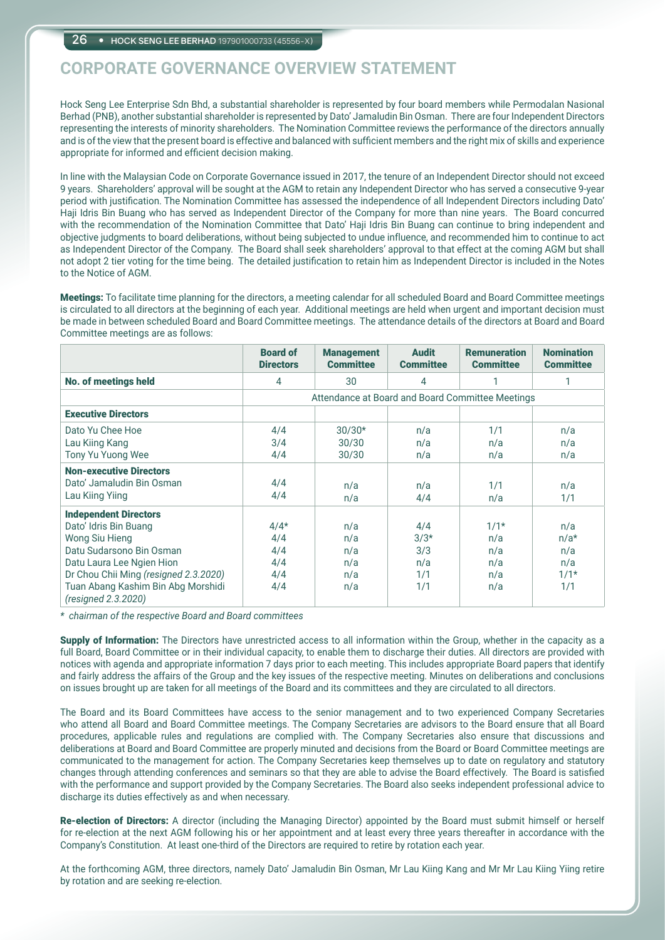Hock Seng Lee Enterprise Sdn Bhd, a substantial shareholder is represented by four board members while Permodalan Nasional Berhad (PNB), another substantial shareholder is represented by Dato' Jamaludin Bin Osman. There are four Independent Directors representing the interests of minority shareholders. The Nomination Committee reviews the performance of the directors annually and is of the view that the present board is effective and balanced with sufficient members and the right mix of skills and experience appropriate for informed and efficient decision making.

In line with the Malaysian Code on Corporate Governance issued in 2017, the tenure of an Independent Director should not exceed 9 years. Shareholders' approval will be sought at the AGM to retain any Independent Director who has served a consecutive 9-year period with justification. The Nomination Committee has assessed the independence of all Independent Directors including Dato' Haji Idris Bin Buang who has served as Independent Director of the Company for more than nine years. The Board concurred with the recommendation of the Nomination Committee that Dato' Haji Idris Bin Buang can continue to bring independent and objective judgments to board deliberations, without being subjected to undue influence, and recommended him to continue to act as Independent Director of the Company. The Board shall seek shareholders' approval to that effect at the coming AGM but shall not adopt 2 tier voting for the time being. The detailed justification to retain him as Independent Director is included in the Notes to the Notice of AGM.

Meetings: To facilitate time planning for the directors, a meeting calendar for all scheduled Board and Board Committee meetings is circulated to all directors at the beginning of each year. Additional meetings are held when urgent and important decision must be made in between scheduled Board and Board Committee meetings. The attendance details of the directors at Board and Board Committee meetings are as follows:

|                                                           | <b>Board of</b><br><b>Directors</b>              | <b>Management</b><br><b>Committee</b> | <b>Audit</b><br><b>Committee</b> | <b>Remuneration</b><br><b>Committee</b> | <b>Nomination</b><br><b>Committee</b> |
|-----------------------------------------------------------|--------------------------------------------------|---------------------------------------|----------------------------------|-----------------------------------------|---------------------------------------|
| <b>No. of meetings held</b>                               | 4                                                | 30                                    | 4                                |                                         | 1                                     |
|                                                           | Attendance at Board and Board Committee Meetings |                                       |                                  |                                         |                                       |
| <b>Executive Directors</b>                                |                                                  |                                       |                                  |                                         |                                       |
| Dato Yu Chee Hoe                                          | 4/4                                              | $30/30*$                              | n/a                              | 1/1                                     | n/a                                   |
| Lau Kiing Kang                                            | 3/4                                              | 30/30                                 | n/a                              | n/a                                     | n/a                                   |
| Tony Yu Yuong Wee                                         | 4/4                                              | 30/30                                 | n/a                              | n/a                                     | n/a                                   |
| <b>Non-executive Directors</b>                            |                                                  |                                       |                                  |                                         |                                       |
| Dato' Jamaludin Bin Osman                                 | 4/4                                              | n/a                                   | n/a                              | 1/1                                     | n/a                                   |
| Lau Kiing Yiing                                           | 4/4                                              | n/a                                   | 4/4                              | n/a                                     | 1/1                                   |
| <b>Independent Directors</b>                              |                                                  |                                       |                                  |                                         |                                       |
| Dato' Idris Bin Buang                                     | $4/4*$                                           | n/a                                   | 4/4                              | $1/1*$                                  | n/a                                   |
| <b>Wong Siu Hieng</b>                                     | 4/4                                              | n/a                                   | $3/3*$                           | n/a                                     | $n/a*$                                |
| Datu Sudarsono Bin Osman                                  | 4/4                                              | n/a                                   | 3/3                              | n/a                                     | n/a                                   |
| Datu Laura Lee Ngien Hion                                 | 4/4                                              | n/a                                   | n/a                              | n/a                                     | n/a                                   |
| Dr Chou Chii Ming (resigned 2.3.2020)                     | 4/4                                              | n/a                                   | 1/1                              | n/a                                     | $1/1*$                                |
| Tuan Abang Kashim Bin Abg Morshidi<br>(resigned 2.3.2020) | 4/4                                              | n/a                                   | 1/1                              | n/a                                     | 1/1                                   |

*\* chairman of the respective Board and Board committees*

Supply of Information: The Directors have unrestricted access to all information within the Group, whether in the capacity as a full Board, Board Committee or in their individual capacity, to enable them to discharge their duties. All directors are provided with notices with agenda and appropriate information 7 days prior to each meeting. This includes appropriate Board papers that identify and fairly address the affairs of the Group and the key issues of the respective meeting. Minutes on deliberations and conclusions on issues brought up are taken for all meetings of the Board and its committees and they are circulated to all directors.

The Board and its Board Committees have access to the senior management and to two experienced Company Secretaries who attend all Board and Board Committee meetings. The Company Secretaries are advisors to the Board ensure that all Board procedures, applicable rules and regulations are complied with. The Company Secretaries also ensure that discussions and deliberations at Board and Board Committee are properly minuted and decisions from the Board or Board Committee meetings are communicated to the management for action. The Company Secretaries keep themselves up to date on regulatory and statutory changes through attending conferences and seminars so that they are able to advise the Board effectively. The Board is satisfied with the performance and support provided by the Company Secretaries. The Board also seeks independent professional advice to discharge its duties effectively as and when necessary.

Re-election of Directors: A director (including the Managing Director) appointed by the Board must submit himself or herself for re-election at the next AGM following his or her appointment and at least every three years thereafter in accordance with the Company's Constitution. At least one-third of the Directors are required to retire by rotation each year.

At the forthcoming AGM, three directors, namely Dato' Jamaludin Bin Osman, Mr Lau Kiing Kang and Mr Mr Lau Kiing Yiing retire by rotation and are seeking re-election.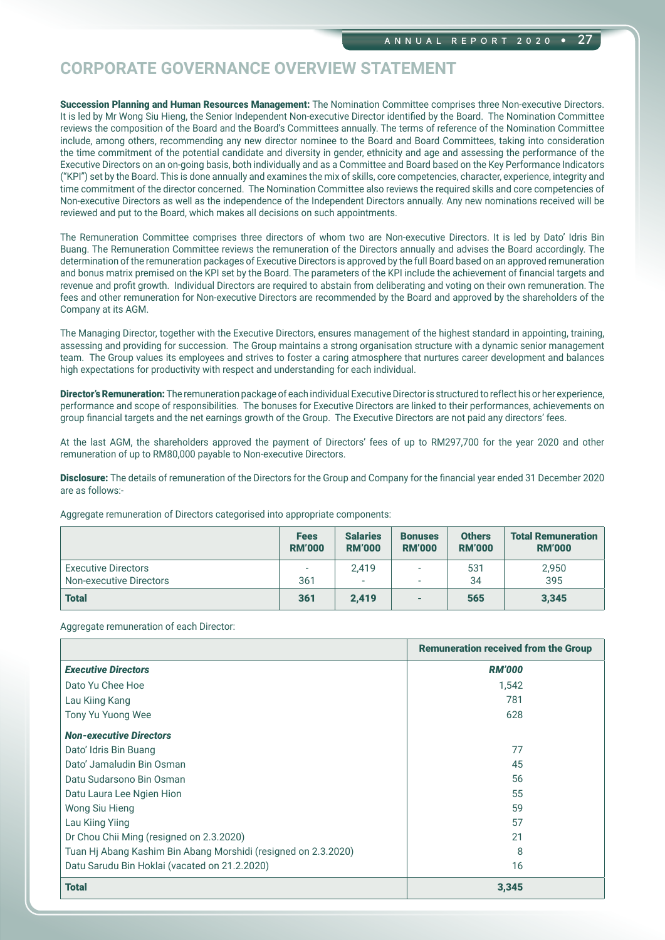Succession Planning and Human Resources Management: The Nomination Committee comprises three Non-executive Directors. It is led by Mr Wong Siu Hieng, the Senior Independent Non-executive Director identified by the Board. The Nomination Committee reviews the composition of the Board and the Board's Committees annually. The terms of reference of the Nomination Committee include, among others, recommending any new director nominee to the Board and Board Committees, taking into consideration the time commitment of the potential candidate and diversity in gender, ethnicity and age and assessing the performance of the Executive Directors on an on-going basis, both individually and as a Committee and Board based on the Key Performance Indicators ("KPI") set by the Board. This is done annually and examines the mix of skills, core competencies, character, experience, integrity and time commitment of the director concerned. The Nomination Committee also reviews the required skills and core competencies of Non-executive Directors as well as the independence of the Independent Directors annually. Any new nominations received will be reviewed and put to the Board, which makes all decisions on such appointments.

The Remuneration Committee comprises three directors of whom two are Non-executive Directors. It is led by Dato' Idris Bin Buang. The Remuneration Committee reviews the remuneration of the Directors annually and advises the Board accordingly. The determination of the remuneration packages of Executive Directors is approved by the full Board based on an approved remuneration and bonus matrix premised on the KPI set by the Board. The parameters of the KPI include the achievement of financial targets and revenue and profit growth. Individual Directors are required to abstain from deliberating and voting on their own remuneration. The fees and other remuneration for Non-executive Directors are recommended by the Board and approved by the shareholders of the Company at its AGM.

The Managing Director, together with the Executive Directors, ensures management of the highest standard in appointing, training, assessing and providing for succession. The Group maintains a strong organisation structure with a dynamic senior management team. The Group values its employees and strives to foster a caring atmosphere that nurtures career development and balances high expectations for productivity with respect and understanding for each individual.

Director's Remuneration: The remuneration package of each individual Executive Director is structured to reflect his or her experience, performance and scope of responsibilities. The bonuses for Executive Directors are linked to their performances, achievements on group financial targets and the net earnings growth of the Group. The Executive Directors are not paid any directors' fees.

At the last AGM, the shareholders approved the payment of Directors' fees of up to RM297,700 for the year 2020 and other remuneration of up to RM80,000 payable to Non-executive Directors.

Disclosure: The details of remuneration of the Directors for the Group and Company for the financial year ended 31 December 2020 are as follows:-

Aggregate remuneration of Directors categorised into appropriate components:

|                            | <b>Fees</b>   | <b>Salaries</b>          | <b>Bonuses</b> | <b>Others</b> | <b>Total Remuneration</b> |
|----------------------------|---------------|--------------------------|----------------|---------------|---------------------------|
|                            | <b>RM'000</b> | <b>RM'000</b>            | <b>RM'000</b>  | <b>RM'000</b> | <b>RM'000</b>             |
| <b>Executive Directors</b> | ٠             | 2,419                    | ٠              | 531           | 2,950                     |
| Non-executive Directors    | 361           | $\overline{\phantom{a}}$ |                | 34            | 395                       |
| <b>Total</b>               | 361           | 2.419                    | ۰              | 565           | 3,345                     |

Aggregate remuneration of each Director:

|                                                                | <b>Remuneration received from the Group</b> |
|----------------------------------------------------------------|---------------------------------------------|
| <b>Executive Directors</b>                                     | <b>RM'000</b>                               |
| Dato Yu Chee Hoe                                               | 1,542                                       |
| Lau Kiing Kang                                                 | 781                                         |
| Tony Yu Yuong Wee                                              | 628                                         |
| <b>Non-executive Directors</b>                                 |                                             |
| Dato' Idris Bin Buang                                          | 77                                          |
| Dato' Jamaludin Bin Osman                                      | 45                                          |
| Datu Sudarsono Bin Osman                                       | 56                                          |
| Datu Laura Lee Ngien Hion                                      | 55                                          |
| Wong Siu Hieng                                                 | 59                                          |
| Lau Kiing Yiing                                                | 57                                          |
| Dr Chou Chii Ming (resigned on 2.3.2020)                       | 21                                          |
| Tuan Hj Abang Kashim Bin Abang Morshidi (resigned on 2.3.2020) | 8                                           |
| Datu Sarudu Bin Hoklai (vacated on 21.2.2020)                  | 16                                          |
| <b>Total</b>                                                   | 3,345                                       |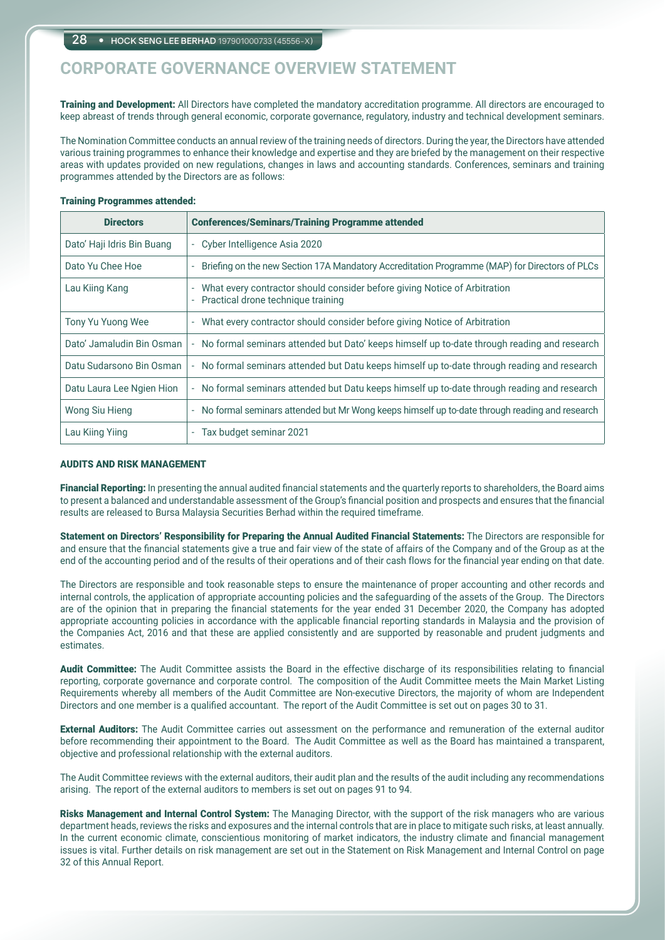Training and Development: All Directors have completed the mandatory accreditation programme. All directors are encouraged to keep abreast of trends through general economic, corporate governance, regulatory, industry and technical development seminars.

The Nomination Committee conducts an annual review of the training needs of directors. During the year, the Directors have attended various training programmes to enhance their knowledge and expertise and they are briefed by the management on their respective areas with updates provided on new regulations, changes in laws and accounting standards. Conferences, seminars and training programmes attended by the Directors are as follows:

#### Training Programmes attended:

| <b>Directors</b>           | <b>Conferences/Seminars/Training Programme attended</b>                                                         |
|----------------------------|-----------------------------------------------------------------------------------------------------------------|
| Dato' Haji Idris Bin Buang | Cyber Intelligence Asia 2020<br>÷.                                                                              |
| Dato Yu Chee Hoe           | Briefing on the new Section 17A Mandatory Accreditation Programme (MAP) for Directors of PLCs                   |
| Lau Kiing Kang             | What every contractor should consider before giving Notice of Arbitration<br>Practical drone technique training |
| Tony Yu Yuong Wee          | What every contractor should consider before giving Notice of Arbitration                                       |
| Dato' Jamaludin Bin Osman  | No formal seminars attended but Dato' keeps himself up to-date through reading and research                     |
| Datu Sudarsono Bin Osman   | - No formal seminars attended but Datu keeps himself up to-date through reading and research                    |
| Datu Laura Lee Ngien Hion  | - No formal seminars attended but Datu keeps himself up to-date through reading and research                    |
| Wong Siu Hieng             | - No formal seminars attended but Mr Wong keeps himself up to-date through reading and research                 |
| Lau Kiing Yiing            | Tax budget seminar 2021                                                                                         |

### AUDITS AND RISK MANAGEMENT

Financial Reporting: In presenting the annual audited financial statements and the quarterly reports to shareholders, the Board aims to present a balanced and understandable assessment of the Group's financial position and prospects and ensures that the financial results are released to Bursa Malaysia Securities Berhad within the required timeframe.

Statement on Directors' Responsibility for Preparing the Annual Audited Financial Statements: The Directors are responsible for and ensure that the financial statements give a true and fair view of the state of affairs of the Company and of the Group as at the end of the accounting period and of the results of their operations and of their cash flows for the financial year ending on that date.

The Directors are responsible and took reasonable steps to ensure the maintenance of proper accounting and other records and internal controls, the application of appropriate accounting policies and the safeguarding of the assets of the Group. The Directors are of the opinion that in preparing the financial statements for the year ended 31 December 2020, the Company has adopted appropriate accounting policies in accordance with the applicable financial reporting standards in Malaysia and the provision of the Companies Act, 2016 and that these are applied consistently and are supported by reasonable and prudent judgments and estimates.

Audit Committee: The Audit Committee assists the Board in the effective discharge of its responsibilities relating to financial reporting, corporate governance and corporate control. The composition of the Audit Committee meets the Main Market Listing Requirements whereby all members of the Audit Committee are Non-executive Directors, the majority of whom are Independent Directors and one member is a qualified accountant. The report of the Audit Committee is set out on pages 30 to 31.

**External Auditors:** The Audit Committee carries out assessment on the performance and remuneration of the external auditor before recommending their appointment to the Board. The Audit Committee as well as the Board has maintained a transparent, objective and professional relationship with the external auditors.

The Audit Committee reviews with the external auditors, their audit plan and the results of the audit including any recommendations arising. The report of the external auditors to members is set out on pages 91 to 94.

Risks Management and Internal Control System: The Managing Director, with the support of the risk managers who are various department heads, reviews the risks and exposures and the internal controls that are in place to mitigate such risks, at least annually. In the current economic climate, conscientious monitoring of market indicators, the industry climate and financial management issues is vital. Further details on risk management are set out in the Statement on Risk Management and Internal Control on page 32 of this Annual Report.